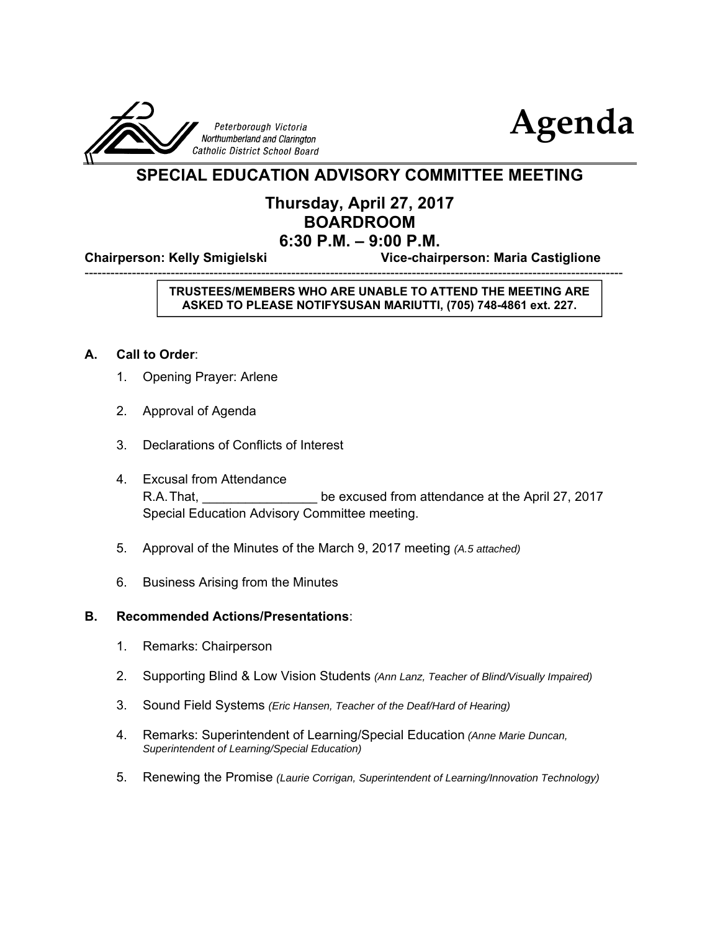



#### **SPECIAL EDUCATION ADVISORY COMMITTEE MEETING**

#### **Thursday, April 27, 2017 BOARDROOM 6:30 P.M. – 9:00 P.M.**

-----------------------------------------------------------------------------------------------------------------------------

**Chairperson: Kelly Smigielski Vice-chairperson: Maria Castiglione**

#### **TRUSTEES/MEMBERS WHO ARE UNABLE TO ATTEND THE MEETING ARE ASKED TO PLEASE NOTIFYSUSAN MARIUTTI, (705) 748-4861 ext. 227.**

#### **A. Call to Order**:

- 1. Opening Prayer: Arlene
- 2. Approval of Agenda
- 3. Declarations of Conflicts of Interest
- 4. Excusal from Attendance R.A. That, **Excluding the excused from attendance at the April 27, 2017** Special Education Advisory Committee meeting.
- 5. Approval of the Minutes of the March 9, 2017 meeting *(A.5 attached)*
- 6. Business Arising from the Minutes

#### **B. Recommended Actions/Presentations**:

- 1. Remarks: Chairperson
- 2. Supporting Blind & Low Vision Students *(Ann Lanz, Teacher of Blind/Visually Impaired)*
- 3. Sound Field Systems *(Eric Hansen, Teacher of the Deaf/Hard of Hearing)*
- 4. Remarks: Superintendent of Learning/Special Education *(Anne Marie Duncan, Superintendent of Learning/Special Education)*
- 5. Renewing the Promise *(Laurie Corrigan, Superintendent of Learning/Innovation Technology)*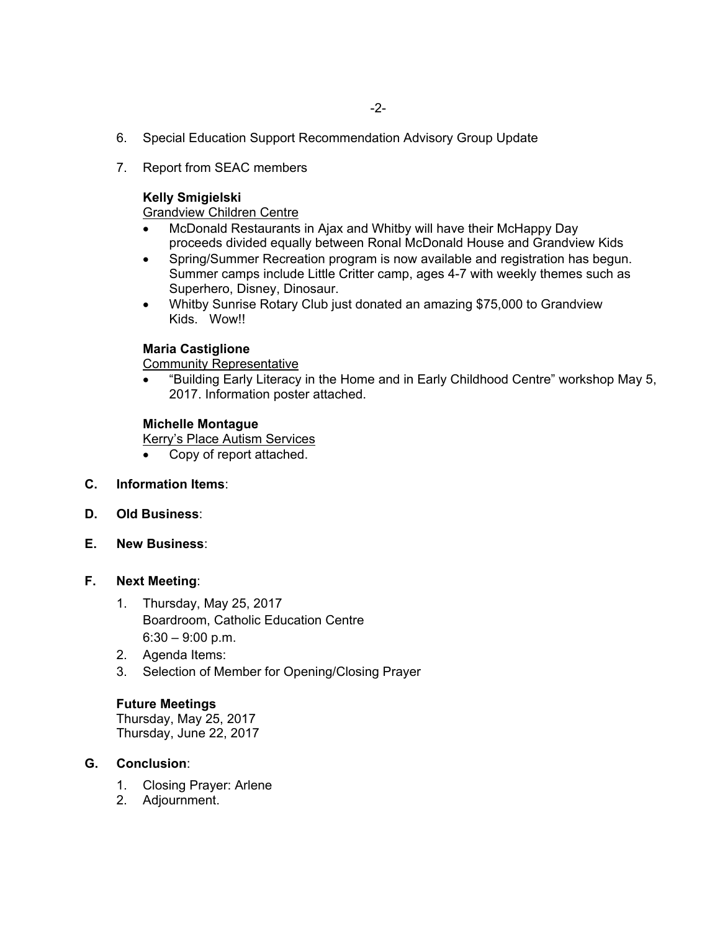- 6. Special Education Support Recommendation Advisory Group Update
- 7. Report from SEAC members

#### **Kelly Smigielski**

**Grandview Children Centre** 

- McDonald Restaurants in Ajax and Whitby will have their McHappy Day proceeds divided equally between Ronal McDonald House and Grandview Kids
- Spring/Summer Recreation program is now available and registration has begun. Summer camps include Little Critter camp, ages 4-7 with weekly themes such as Superhero, Disney, Dinosaur.
- Whitby Sunrise Rotary Club just donated an amazing \$75,000 to Grandview Kids. Wow!!

#### **Maria Castiglione**

Community Representative

 "Building Early Literacy in the Home and in Early Childhood Centre" workshop May 5, 2017. Information poster attached.

#### **Michelle Montague**

Kerry's Place Autism Services

- Copy of report attached.
- **C. Information Items**:
- **D. Old Business**:
- **E. New Business**:

#### **F. Next Meeting**:

- 1. Thursday, May 25, 2017 Boardroom, Catholic Education Centre  $6:30 - 9:00$  p.m.
- 2. Agenda Items:
- 3. Selection of Member for Opening/Closing Prayer

#### **Future Meetings**

Thursday, May 25, 2017 Thursday, June 22, 2017

#### **G. Conclusion**:

- 1. Closing Prayer: Arlene
- 2. Adjournment.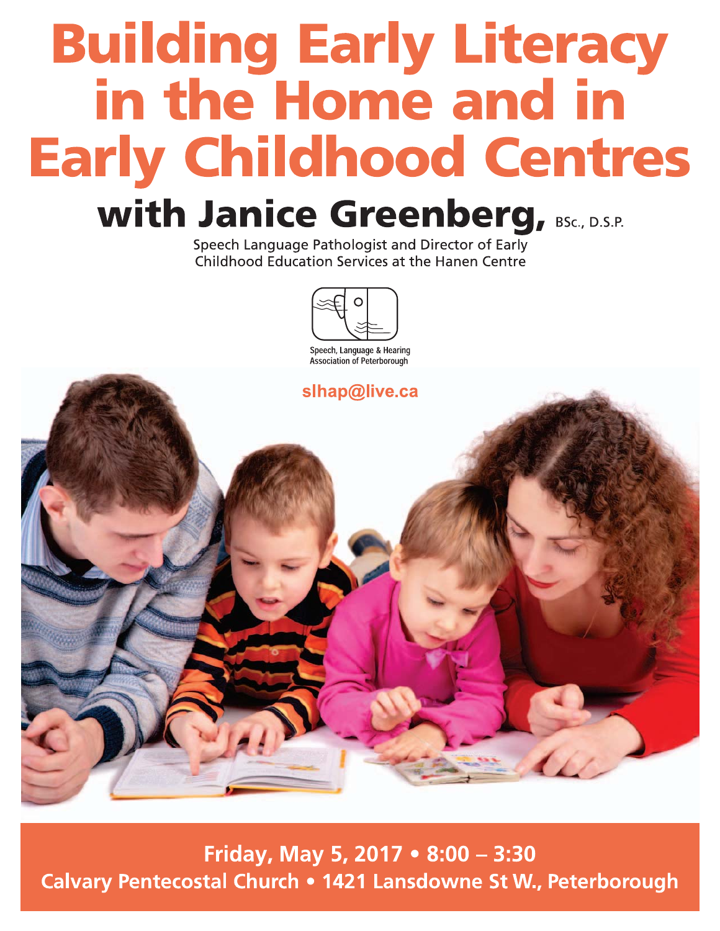# **Building Early Literacy** in the Home and in **Early Childhood Centres**

## **with Janice Greenberg, BSC., D.S.P.**

Speech Language Pathologist and Director of Early Childhood Education Services at the Hanen Centre





Friday, May 5, 2017 . 8:00 - 3:30 Calvary Pentecostal Church . 1421 Lansdowne St W., Peterborough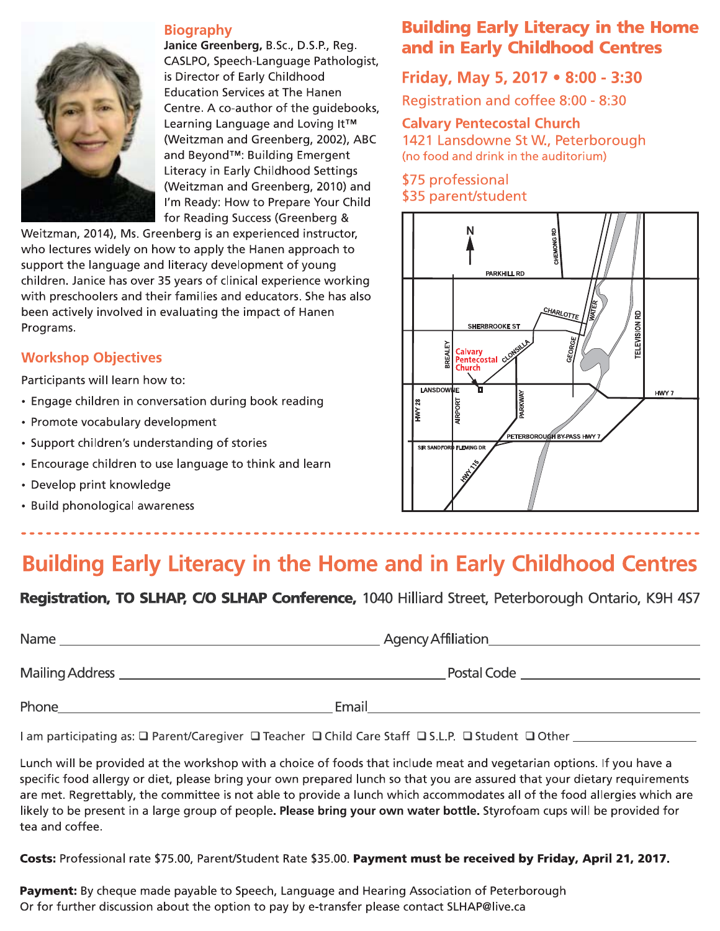

#### **Biography**

Janice Greenberg, B.Sc., D.S.P., Reg. CASLPO, Speech-Language Pathologist, is Director of Early Childhood **Education Services at The Hanen** Centre. A co-author of the quidebooks, Learning Language and Loving It™ (Weitzman and Greenberg, 2002), ABC and Beyond™: Building Emergent Literacy in Early Childhood Settings (Weitzman and Greenberg, 2010) and I'm Ready: How to Prepare Your Child for Reading Success (Greenberg &

Weitzman, 2014), Ms. Greenberg is an experienced instructor, who lectures widely on how to apply the Hanen approach to support the language and literacy development of young children. Janice has over 35 years of clinical experience working with preschoolers and their families and educators. She has also been actively involved in evaluating the impact of Hanen Programs.

#### **Workshop Objectives**

Participants will learn how to:

- Engage children in conversation during book reading
- Promote vocabulary development
- Support children's understanding of stories
- Encourage children to use language to think and learn
- Develop print knowledge
- Build phonological awareness

#### **Building Early Literacy in the Home** and in Early Childhood Centres

#### Friday, May 5, 2017 • 8:00 - 3:30

Registration and coffee 8:00 - 8:30

**Calvary Pentecostal Church** 1421 Lansdowne St W., Peterborough (no food and drink in the auditorium)

#### \$75 professional \$35 parent/student



## **Building Early Literacy in the Home and in Early Childhood Centres**

Registration, TO SLHAP, C/O SLHAP Conference, 1040 Hilliard Street, Peterborough Ontario, K9H 4S7

| Name            | <b>Agency Affiliation</b> |  |
|-----------------|---------------------------|--|
| Mailing Address | Postal Code               |  |
| Phone           | Email                     |  |

I am participating as: Q Parent/Caregiver Q Teacher Q Child Care Staff Q S.L.P. Q Student Q Other \_\_

Lunch will be provided at the workshop with a choice of foods that include meat and vegetarian options. If you have a specific food allergy or diet, please bring your own prepared lunch so that you are assured that your dietary requirements are met. Regrettably, the committee is not able to provide a lunch which accommodates all of the food allergies which are likely to be present in a large group of people. Please bring your own water bottle. Styrofoam cups will be provided for tea and coffee.

Costs: Professional rate \$75.00, Parent/Student Rate \$35.00. Payment must be received by Friday, April 21, 2017.

Payment: By cheque made payable to Speech, Language and Hearing Association of Peterborough Or for further discussion about the option to pay by e-transfer please contact SLHAP@live.ca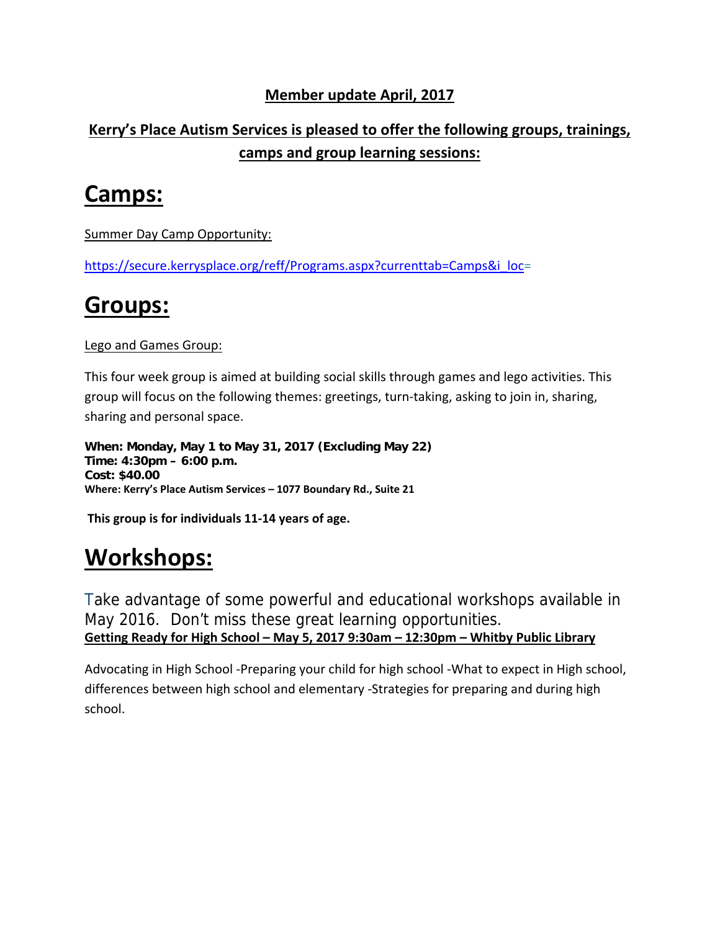#### **Member update April, 2017**

#### **Kerry's Place Autism Services is pleased to offer the following groups, trainings, camps and group learning sessions:**

## **Camps:**

Summer Day Camp Opportunity:

https://secure.kerrysplace.org/reff/Programs.aspx?currenttab=Camps&i\_loc=

## **Groups:**

Lego and Games Group:

This four week group is aimed at building social skills through games and lego activities. This group will focus on the following themes: greetings, turn-taking, asking to join in, sharing, sharing and personal space.

**When: Monday, May 1 to May 31, 2017 (Excluding May 22) Time: 4:30pm – 6:00 p.m. Cost: \$40.00 Where: Kerry's Place Autism Services – 1077 Boundary Rd., Suite 21**

**This group is for individuals 11‐14 years of age.**

## **Workshops:**

Take advantage of some powerful and educational workshops available in May 2016. Don't miss these great learning opportunities. **Getting Ready for High School – May 5, 2017 9:30am – 12:30pm – Whitby Public Library**

Advocating in High School ‐Preparing your child for high school ‐What to expect in High school, differences between high school and elementary ‐Strategies for preparing and during high school.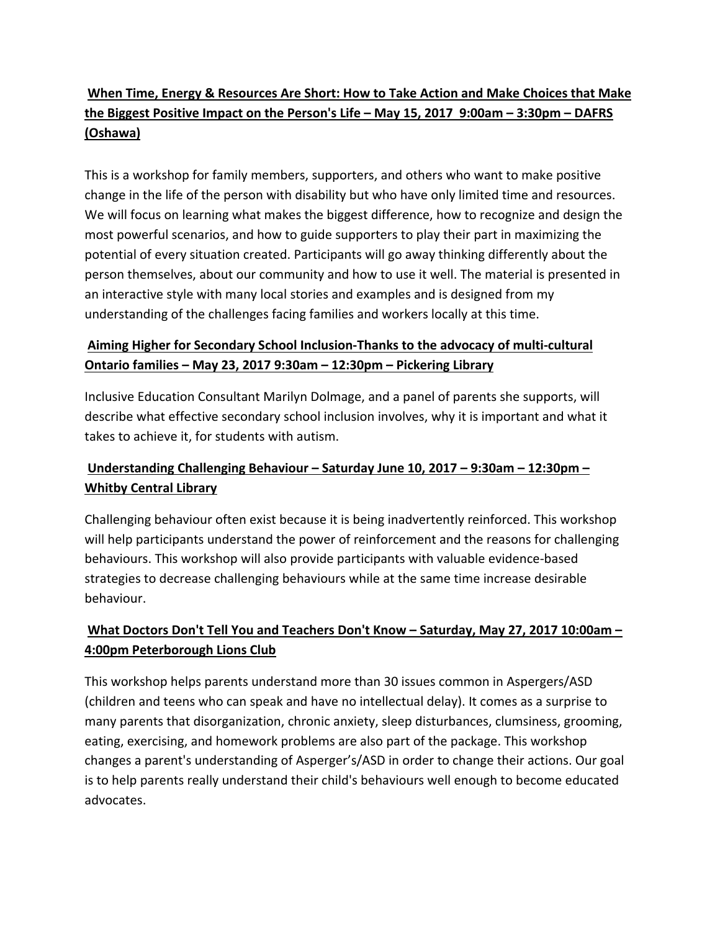#### **When Time, Energy & Resources Are Short: How to Take Action and Make Choices that Make the Biggest Positive Impact on the Person's Life – May 15, 2017 9:00am – 3:30pm – DAFRS (Oshawa)**

This is a workshop for family members, supporters, and others who want to make positive change in the life of the person with disability but who have only limited time and resources. We will focus on learning what makes the biggest difference, how to recognize and design the most powerful scenarios, and how to guide supporters to play their part in maximizing the potential of every situation created. Participants will go away thinking differently about the person themselves, about our community and how to use it well. The material is presented in an interactive style with many local stories and examples and is designed from my understanding of the challenges facing families and workers locally at this time.

#### **Aiming Higher for Secondary School Inclusion‐Thanks to the advocacy of multi‐cultural Ontario families – May 23, 2017 9:30am – 12:30pm – Pickering Library**

Inclusive Education Consultant Marilyn Dolmage, and a panel of parents she supports, will describe what effective secondary school inclusion involves, why it is important and what it takes to achieve it, for students with autism.

#### **Understanding Challenging Behaviour – Saturday June 10, 2017 – 9:30am – 12:30pm – Whitby Central Library**

Challenging behaviour often exist because it is being inadvertently reinforced. This workshop will help participants understand the power of reinforcement and the reasons for challenging behaviours. This workshop will also provide participants with valuable evidence‐based strategies to decrease challenging behaviours while at the same time increase desirable behaviour.

#### **What Doctors Don't Tell You and Teachers Don't Know – Saturday, May 27, 2017 10:00am – 4:00pm Peterborough Lions Club**

This workshop helps parents understand more than 30 issues common in Aspergers/ASD (children and teens who can speak and have no intellectual delay). It comes as a surprise to many parents that disorganization, chronic anxiety, sleep disturbances, clumsiness, grooming, eating, exercising, and homework problems are also part of the package. This workshop changes a parent's understanding of Asperger's/ASD in order to change their actions. Our goal is to help parents really understand their child's behaviours well enough to become educated advocates.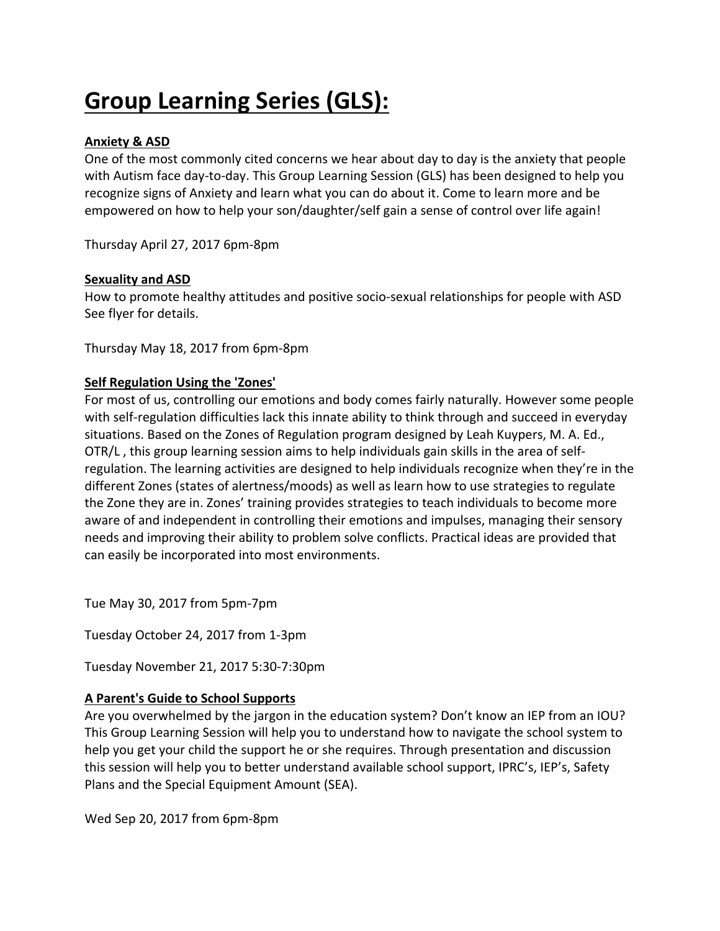## **Group Learning Series (GLS):**

#### **Anxiety & ASD**

One of the most commonly cited concerns we hear about day to day is the anxiety that people with Autism face day-to-day. This Group Learning Session (GLS) has been designed to help you recognize signs of Anxiety and learn what you can do about it. Come to learn more and be empowered on how to help your son/daughter/self gain a sense of control over life again!

Thursday April 27, 2017 6pm‐8pm

#### **Sexuality and ASD**

How to promote healthy attitudes and positive socio‐sexual relationships for people with ASD See flyer for details.

Thursday May 18, 2017 from 6pm‐8pm

#### **Self Regulation Using the 'Zones'**

For most of us, controlling our emotions and body comes fairly naturally. However some people with self-regulation difficulties lack this innate ability to think through and succeed in everyday situations. Based on the Zones of Regulation program designed by Leah Kuypers, M. A. Ed., OTR/L , this group learning session aims to help individuals gain skills in the area of self‐ regulation. The learning activities are designed to help individuals recognize when they're in the different Zones (states of alertness/moods) as well as learn how to use strategies to regulate the Zone they are in. Zones' training provides strategies to teach individuals to become more aware of and independent in controlling their emotions and impulses, managing their sensory needs and improving their ability to problem solve conflicts. Practical ideas are provided that can easily be incorporated into most environments.

Tue May 30, 2017 from 5pm‐7pm

Tuesday October 24, 2017 from 1‐3pm

Tuesday November 21, 2017 5:30‐7:30pm

#### **A Parent's Guide to School Supports**

Are you overwhelmed by the jargon in the education system? Don't know an IEP from an IOU? This Group Learning Session will help you to understand how to navigate the school system to help you get your child the support he or she requires. Through presentation and discussion this session will help you to better understand available school support, IPRC's, IEP's, Safety Plans and the Special Equipment Amount (SEA).

Wed Sep 20, 2017 from 6pm‐8pm